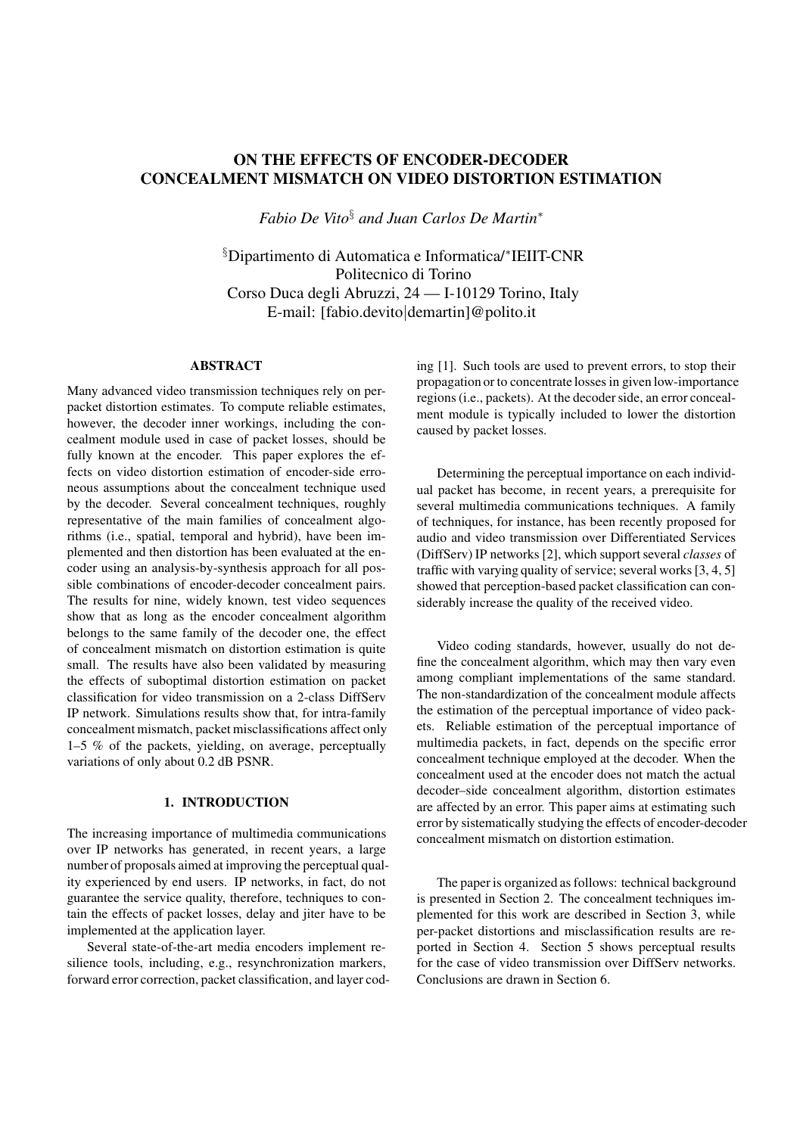# **ON THE EFFECTS OF ENCODER-DECODER CONCEALMENT MISMATCH ON VIDEO DISTORTION ESTIMATION**

*Fabio De Vito*§ *and Juan Carlos De Martin*<sup>∗</sup>

§ Dipartimento di Automatica e Informatica/<sup>∗</sup>IEIIT-CNR Politecnico di Torino Corso Duca degli Abruzzi, 24 — I-10129 Torino, Italy E-mail: [fabio.devito|demartin]@polito.it

## **ABSTRACT**

Many advanced video transmission techniques rely on perpacket distortion estimates. To compute reliable estimates, however, the decoder inner workings, including the concealment module used in case of packet losses, should be fully known at the encoder. This paper explores the effects on video distortion estimation of encoder-side erroneous assumptions about the concealment technique used by the decoder. Several concealment techniques, roughly representative of the main families of concealment algorithms (i.e., spatial, temporal and hybrid), have been implemented and then distortion has been evaluated at the encoder using an analysis-by-synthesis approach for all possible combinations of encoder-decoder concealment pairs. The results for nine, widely known, test video sequences show that as long as the encoder concealment algorithm belongs to the same family of the decoder one, the effect of concealment mismatch on distortion estimation is quite small. The results have also been validated by measuring the effects of suboptimal distortion estimation on packet classification for video transmission on a 2-class DiffServ IP network. Simulations results show that, for intra-family concealment mismatch, packet misclassifications affect only 1–5 % of the packets, yielding, on average, perceptually variations of only about 0.2 dB PSNR.

## **1. INTRODUCTION**

The increasing importance of multimedia communications over IP networks has generated, in recent years, a large number of proposals aimed at improving the perceptual quality experienced by end users. IP networks, in fact, do not guarantee the service quality, therefore, techniques to contain the effects of packet losses, delay and jiter have to be implemented at the application layer.

Several state-of-the-art media encoders implement resilience tools, including, e.g., resynchronization markers, forward error correction, packet classification, and layer coding [1]. Such tools are used to prevent errors, to stop their propagation or to concentrate losses in given low-importance regions (i.e., packets). At the decoder side, an error concealment module is typically included to lower the distortion caused by packet losses.

Determining the perceptual importance on each individual packet has become, in recent years, a prerequisite for several multimedia communications techniques. A family of techniques, for instance, has been recently proposed for audio and video transmission over Differentiated Services (DiffServ) IP networks [2], which support several *classes* of traffic with varying quality of service; several works [3, 4, 5] showed that perception-based packet classification can considerably increase the quality of the received video.

Video coding standards, however, usually do not define the concealment algorithm, which may then vary even among compliant implementations of the same standard. The non-standardization of the concealment module affects the estimation of the perceptual importance of video packets. Reliable estimation of the perceptual importance of multimedia packets, in fact, depends on the specific error concealment technique employed at the decoder. When the concealment used at the encoder does not match the actual decoder–side concealment algorithm, distortion estimates are affected by an error. This paper aims at estimating such error by sistematically studying the effects of encoder-decoder concealment mismatch on distortion estimation.

The paper is organized as follows: technical background is presented in Section 2. The concealment techniques implemented for this work are described in Section 3, while per-packet distortions and misclassification results are reported in Section 4. Section 5 shows perceptual results for the case of video transmission over DiffServ networks. Conclusions are drawn in Section 6.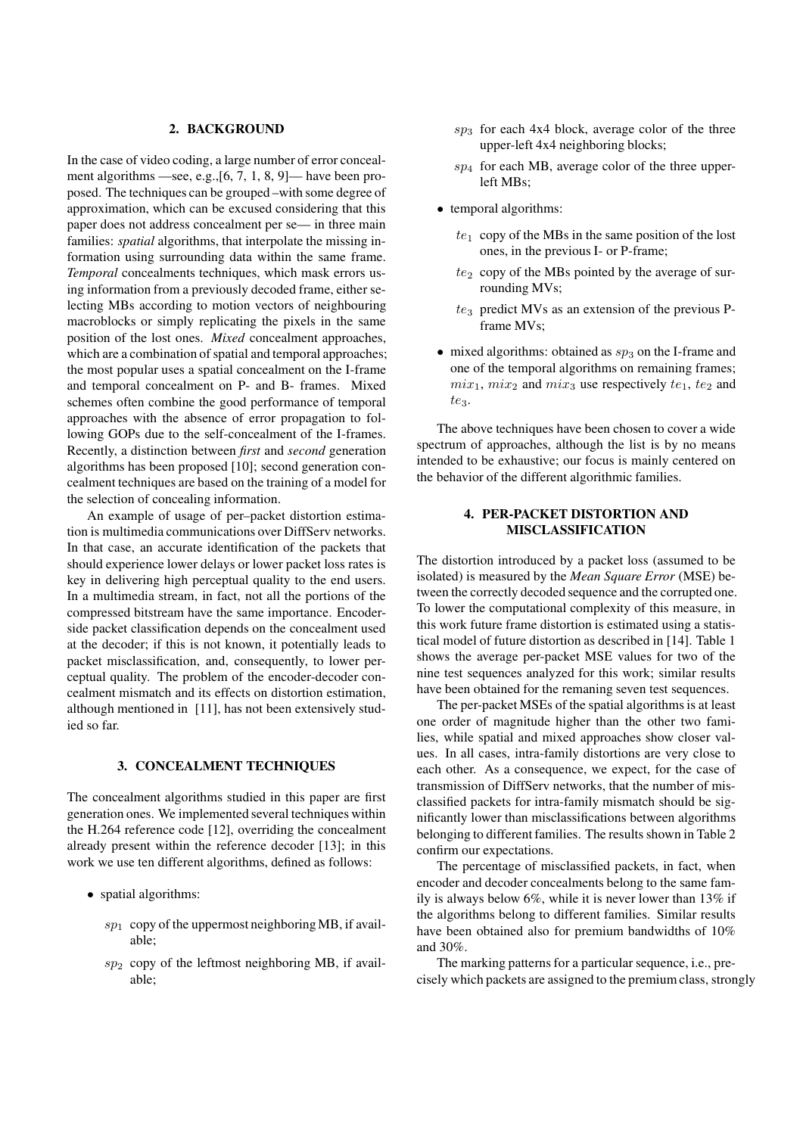## **2. BACKGROUND**

In the case of video coding, a large number of error concealment algorithms —see, e.g.,[6, 7, 1, 8, 9]— have been proposed. The techniques can be grouped –with some degree of approximation, which can be excused considering that this paper does not address concealment per se— in three main families: *spatial* algorithms, that interpolate the missing information using surrounding data within the same frame. *Temporal* concealments techniques, which mask errors using information from a previously decoded frame, either selecting MBs according to motion vectors of neighbouring macroblocks or simply replicating the pixels in the same position of the lost ones. *Mixed* concealment approaches, which are a combination of spatial and temporal approaches; the most popular uses a spatial concealment on the I-frame and temporal concealment on P- and B- frames. Mixed schemes often combine the good performance of temporal approaches with the absence of error propagation to following GOPs due to the self-concealment of the I-frames. Recently, a distinction between *first* and *second* generation algorithms has been proposed [10]; second generation concealment techniques are based on the training of a model for the selection of concealing information.

An example of usage of per–packet distortion estimation is multimedia communications over DiffServ networks. In that case, an accurate identification of the packets that should experience lower delays or lower packet loss rates is key in delivering high perceptual quality to the end users. In a multimedia stream, in fact, not all the portions of the compressed bitstream have the same importance. Encoderside packet classification depends on the concealment used at the decoder; if this is not known, it potentially leads to packet misclassification, and, consequently, to lower perceptual quality. The problem of the encoder-decoder concealment mismatch and its effects on distortion estimation, although mentioned in [11], has not been extensively studied so far.

#### **3. CONCEALMENT TECHNIQUES**

The concealment algorithms studied in this paper are first generation ones. We implemented several techniques within the H.264 reference code [12], overriding the concealment already present within the reference decoder [13]; in this work we use ten different algorithms, defined as follows:

- spatial algorithms:
	- $sp<sub>1</sub>$  copy of the uppermost neighboring MB, if available;
	- $sp<sub>2</sub>$  copy of the leftmost neighboring MB, if available;
- $sp_3$  for each 4x4 block, average color of the three upper-left 4x4 neighboring blocks;
- $sp_4$  for each MB, average color of the three upperleft MBs;
- temporal algorithms:
	- $te_1$  copy of the MBs in the same position of the lost ones, in the previous I- or P-frame;
	- $te<sub>2</sub>$  copy of the MBs pointed by the average of surrounding MVs;
	- $te<sub>3</sub>$  predict MVs as an extension of the previous Pframe MVs;
- mixed algorithms: obtained as  $sp_3$  on the I-frame and one of the temporal algorithms on remaining frames;  $mix_1$ ,  $mix_2$  and  $mix_3$  use respectively  $te_1$ ,  $te_2$  and  $te_3$ .

The above techniques have been chosen to cover a wide spectrum of approaches, although the list is by no means intended to be exhaustive; our focus is mainly centered on the behavior of the different algorithmic families.

## **4. PER-PACKET DISTORTION AND MISCLASSIFICATION**

The distortion introduced by a packet loss (assumed to be isolated) is measured by the *Mean Square Error* (MSE) between the correctly decoded sequence and the corrupted one. To lower the computational complexity of this measure, in this work future frame distortion is estimated using a statistical model of future distortion as described in [14]. Table 1 shows the average per-packet MSE values for two of the nine test sequences analyzed for this work; similar results have been obtained for the remaning seven test sequences.

The per-packet MSEs of the spatial algorithms is at least one order of magnitude higher than the other two families, while spatial and mixed approaches show closer values. In all cases, intra-family distortions are very close to each other. As a consequence, we expect, for the case of transmission of DiffServ networks, that the number of misclassified packets for intra-family mismatch should be significantly lower than misclassifications between algorithms belonging to different families. The results shown in Table 2 confirm our expectations.

The percentage of misclassified packets, in fact, when encoder and decoder concealments belong to the same family is always below 6%, while it is never lower than 13% if the algorithms belong to different families. Similar results have been obtained also for premium bandwidths of 10% and 30%.

The marking patterns for a particular sequence, i.e., precisely which packets are assigned to the premium class, strongly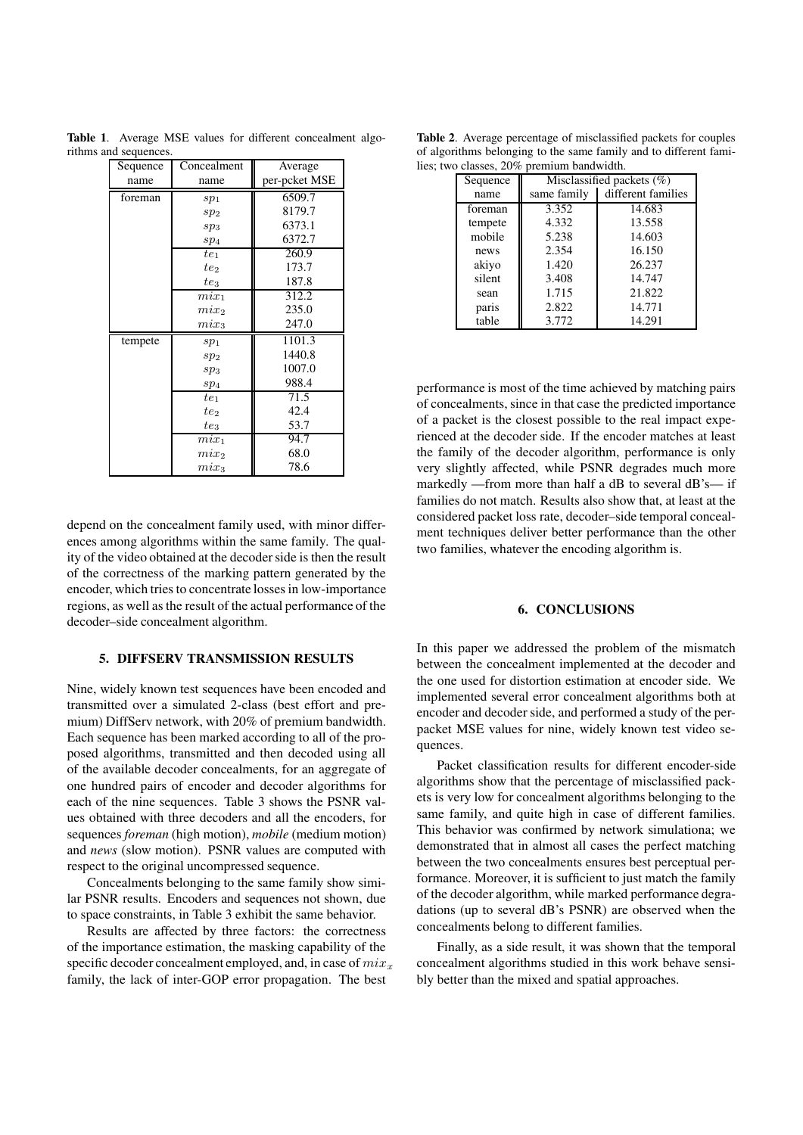| Sequence | Concealment     | Average       |  |  |
|----------|-----------------|---------------|--|--|
| name     | name            | per-pcket MSE |  |  |
| foreman  | sp <sub>1</sub> | 6509.7        |  |  |
|          | sp <sub>2</sub> | 8179.7        |  |  |
|          | sp <sub>3</sub> | 6373.1        |  |  |
|          | sp <sub>4</sub> | 6372.7        |  |  |
|          | $te_1$          | 260.9         |  |  |
|          | $te_2$          | 173.7         |  |  |
|          | $te_3$          | 187.8         |  |  |
|          | $mix_1$         | 312.2         |  |  |
|          | $mix_2$         | 235.0         |  |  |
|          | $mix_3$         | 247.0         |  |  |
| tempete  | sp <sub>1</sub> | 1101.3        |  |  |
|          | sp <sub>2</sub> | 1440.8        |  |  |
|          | $sp_3$          | 1007.0        |  |  |
|          | sp <sub>4</sub> | 988.4         |  |  |
|          | te1             | 71.5          |  |  |
|          | $te_2$          | 42.4          |  |  |
|          | $te_3$          | 53.7          |  |  |
|          | $mix_1$         | 94.7          |  |  |
|          | $mix_2$         | 68.0          |  |  |
|          | $mix_3$         | 78.6          |  |  |

**Table 1**. Average MSE values for different concealment algorithms and sequences.

depend on the concealment family used, with minor differences among algorithms within the same family. The quality of the video obtained at the decoder side is then the result of the correctness of the marking pattern generated by the encoder, which tries to concentrate losses in low-importance regions, as well as the result of the actual performance of the decoder–side concealment algorithm.

#### **5. DIFFSERV TRANSMISSION RESULTS**

Nine, widely known test sequences have been encoded and transmitted over a simulated 2-class (best effort and premium) DiffServ network, with 20% of premium bandwidth. Each sequence has been marked according to all of the proposed algorithms, transmitted and then decoded using all of the available decoder concealments, for an aggregate of one hundred pairs of encoder and decoder algorithms for each of the nine sequences. Table 3 shows the PSNR values obtained with three decoders and all the encoders, for sequences *foreman* (high motion), *mobile* (medium motion) and *news* (slow motion). PSNR values are computed with respect to the original uncompressed sequence.

Concealments belonging to the same family show similar PSNR results. Encoders and sequences not shown, due to space constraints, in Table 3 exhibit the same behavior.

Results are affected by three factors: the correctness of the importance estimation, the masking capability of the specific decoder concealment employed, and, in case of  $mix_x$ family, the lack of inter-GOP error propagation. The best

**Table 2**. Average percentage of misclassified packets for couples of algorithms belonging to the same family and to different families; two classes, 20% premium bandwidth.

| Sequence | Misclassified packets $(\%)$ |                    |  |
|----------|------------------------------|--------------------|--|
| name     | same family                  | different families |  |
| foreman  | 3.352                        | 14.683             |  |
| tempete  | 4.332                        | 13.558             |  |
| mobile   | 5.238                        | 14.603             |  |
| news     | 2.354                        | 16.150             |  |
| akiyo    | 1.420                        | 26.237             |  |
| silent   | 3.408                        | 14.747             |  |
| sean     | 1.715                        | 21.822             |  |
| paris    | 2.822                        | 14.771             |  |
| table    | 3.772                        | 14.291             |  |

performance is most of the time achieved by matching pairs of concealments, since in that case the predicted importance of a packet is the closest possible to the real impact experienced at the decoder side. If the encoder matches at least the family of the decoder algorithm, performance is only very slightly affected, while PSNR degrades much more markedly —from more than half a dB to several dB's— if families do not match. Results also show that, at least at the considered packet loss rate, decoder–side temporal concealment techniques deliver better performance than the other two families, whatever the encoding algorithm is.

### **6. CONCLUSIONS**

In this paper we addressed the problem of the mismatch between the concealment implemented at the decoder and the one used for distortion estimation at encoder side. We implemented several error concealment algorithms both at encoder and decoder side, and performed a study of the perpacket MSE values for nine, widely known test video sequences.

Packet classification results for different encoder-side algorithms show that the percentage of misclassified packets is very low for concealment algorithms belonging to the same family, and quite high in case of different families. This behavior was confirmed by network simulationa; we demonstrated that in almost all cases the perfect matching between the two concealments ensures best perceptual performance. Moreover, it is sufficient to just match the family of the decoder algorithm, while marked performance degradations (up to several dB's PSNR) are observed when the concealments belong to different families.

Finally, as a side result, it was shown that the temporal concealment algorithms studied in this work behave sensibly better than the mixed and spatial approaches.